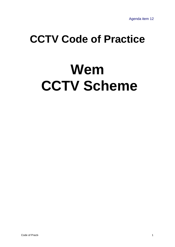## **CCTV Code of Practice**

# **Wem CCTV Scheme**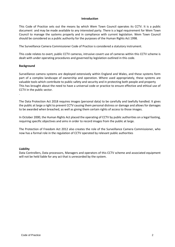#### **Introduction**

This Code of Practice sets out the means by which Wem Town Council operates its CCTV. It is a public document and may be made available to any interested party. There is a legal requirement for Wem Town Council to manage the systems properly and in compliance with current legislation. Wem Town Council should be considered as a public authority for the purposes of the Human Rights Act 1998.

The Surveillance Camera Commissioner Code of Practice is considered a statutory instrument.

This code relates to overt, public CCTV cameras, intrusive covert use of cameras within this CCTV scheme is dealt with under operating procedures and governed by legislation outlined in this code.

#### **Background**

.

Surveillance camera systems are deployed extensively within England and Wales, and these systems form part of a complex landscape of ownership and operation. Where used appropriately, these systems are valuable tools which contribute to public safety and security and in protecting both people and property This has brought about the need to have a universal code or practice to ensure effective and ethical use of CCTV in the public sector.

The Data Protection Act 2018 requires images (personal data) to be carefully and lawfully handled. It gives the public at large a right to prevent CCTV causing them personal distress or damage and allows for damages to be awarded when breached, as well as giving them certain rights of access to those images.

In October 2000, the Human Rights Act placed the operating of CCTV by public authorities on a legal footing, requiring specific objectives and aims in order to record images from the public at large.

The Protection of Freedom Act 2012 also creates the role of the Surveillance Camera Commissioner, who now has a formal role in the regulation of CCTV operated by relevant public authorities

#### **Liability**

Data Controllers, Data processors, Managers and operators of this CCTV scheme and associated equipment will not be held liable for any act that is unrecorded by the system.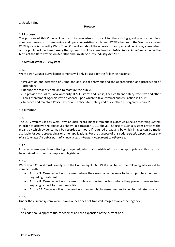#### **1. Section One**

#### **Protocol**

#### **1.1 Purpose**

The purpose of this Code of Practice is to regularise a protocol for the existing good practice, within a common framework for managing and operating existing or planned CCTV schemes in the Wem area. Wem CCTV System is owned by Wem Town Council and should be operated in an open and public way as members of the public will be filmed using the system. It will be considered as *Public Space Surveillance* under the terms of the Data Protection Act 2018 and Private Security Industry Act 2001.

#### <span id="page-2-1"></span><span id="page-2-0"></span>**1.2 Aims of Wem CCTV System**

#### 1.2.1

Wem Town Council surveillance cameras will only be used for the following reasons:

- Prevention and detection of Crime and anti-social behaviour and the apprehension and prosecution of offenders
- Reduce the fear of crime and to reassure the public
- To provide the Police, Local Authority, H.M Customs and Excise, The Health and Safety Executive and other Law Enforcement Agencies with evidence upon which to take criminal and civil action in Court
- Improve and maintain Police Officer and Police Staff safety and assist other 'Emergency Services'

#### **1.3 Intention**

#### 1.3.1

The CCTV system used by Wem Town Council record images from public places via a secure recording system in order to achieve the objectives shown in paragraph 1.2.1 above. The use of such a system provides the means by which evidence may be recorded 24 hours if required a day and by which images can be made available for court proceedings or other applications. For the purpose of this code, *a public places means any place to which the public normally have access whether on payment or otherwise*.

#### <span id="page-2-2"></span>1.3.2

In cases where specific monitoring is required, which falls outside of this code, appropriate authority must be obtained in order to comply with legislation.

#### 1.3.4

Wem Town Council must comply with the Human Rights Act 1998 at all times. The following articles will be complied with:

- Article 3: Cameras will not be used where they may cause persons to be subject to inhuman or degrading treatment.
- Article 8: Cameras will not be used (unless authorised in law) where they prevent persons from enjoying respect for their family life
- Article 14: Cameras will not be used in a manner which causes persons to be discriminated against

#### 1.3.5

Under the current system Wem Town Council does not transmit images to any other agency.,

#### 1.3.6

This code should apply to future schemes and the expansion of the current one.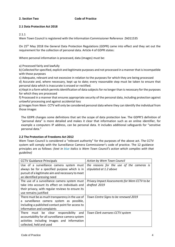#### **2.** Section Two **Code of Practice**

#### **2.1 Data Protection Act 2018**

#### 2.1.1

Wem Town Council is registered with the Information Commissioner Reference ZA011535

On 25<sup>th</sup> May 2018 the General Data Protection Regulations (GDPR) came into effect and they set out the requirement for the collection of personal data. Article 4 of GDPR states:

Where personal information is processed, data (images) must be:

a) Processed fairly and lawfully

b) Collected for specified, explicit and legitimate purposes and not processed in a manner that is incompatible with those purposes

c) Adequate, relevant and not excessive in relation to the purposes for which they are being processed

d) Accurate and, where necessary, kept up to date; every reasonable step must be taken to ensure that personal data which is inaccurate is erased or rectified.

e) Kept in a form which permits identification of data subjects for no longer than is necessary for the purposes for which they are processed

f) Processed in a manner that ensures appropriate security of the personal data, including protection against unlawful processing and against accidental loss

g) Images from Wem CCTV will only be considered personal data where they can identify the individual from those images

The GDPR changes some definitions that set the scope of data protection law. The GDPR'S definition of "personal data" is more detailed and makes it clear that information such as an online identifier, for example a computers IP address, can be personal data. It includes additional safeguards for "sensitive personal data."

#### **2.2 The Protection of Freedoms Act 2012**

Wem Town Council is considered a "relevant authority" for the purposes of the above act. The CCTV system will comply with the Surveillance Camera Commissioner's code of practice. The 12 guidance principles are as follows: *(text in blue italics is Wem Town Council's action which complies with that guideline)*

| <b>CCTV Guidance Principals</b>                   | Action by Wem Town Council                    |
|---------------------------------------------------|-----------------------------------------------|
| Use of a surveillance camera system must          | the reasons for the use of the cameras is     |
| always be for a specified purpose which is in     | stipulated at 1.2 above                       |
| pursuit of a legitimate aim and necessary to meet |                                               |
| an identified pressing need                       |                                               |
| The use of a surveillance camera system must      | Privacy Impact Assessments for Wem CCTV to be |
| take into account its effect on individuals and   | drafted 2019                                  |
| their privacy, with regular reviews to ensure its |                                               |
| use remains justified                             |                                               |
| There must be as much transparency in the use of  | Town Centre Signs to be renewed 2019          |
| a surveillance camera system as possible,         |                                               |
| including a published contact point for access to |                                               |
| information and complaints                        |                                               |
| There must be clear<br>responsibility<br>and      | Town Clerk oversees CCTV system               |
| accountability for all surveillance camera system |                                               |
| activities including images and information       |                                               |
| collected, held and used                          |                                               |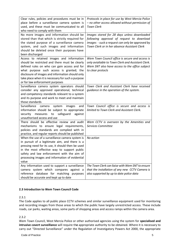| Clear rules, policies and procedures must be in<br>place before a surveillance camera system is<br>used, and these must be communicated to all<br>who need to comply with them                                                                                                                                                       | Protocols in place for use by West Mercia Police<br>- no other access allowed without permission of<br><b>Town Clerk</b>                                                                    |
|--------------------------------------------------------------------------------------------------------------------------------------------------------------------------------------------------------------------------------------------------------------------------------------------------------------------------------------|---------------------------------------------------------------------------------------------------------------------------------------------------------------------------------------------|
| No more images and information should be<br>stored than that which is strictly required for<br>the stated purpose of a surveillance camera<br>system, and such images and information<br>should be deleted once their purposes have<br>been discharged                                                                               | Images stored for 28 days unless downloaded<br>following approval of request to download<br>images - suck a request can only be approved by<br>Town Clerk or in her absence Assistant Clerk |
| Access to retained images and information<br>should be restricted and there must be clearly<br>defined rules on who can gain access and for<br>what purpose such access is granted; the<br>disclosure of images and information should only<br>take place when it is necessary for such a purpose<br>or for law enforcement purposes | Wem Town Council office is secure and access is<br>only avialiable to Town Clerk and Assistant Clerk.<br>Wem SNT also have access to the office subject<br>to clear protocls                |
| Surveillance camera system operators should<br>consider any approved operational, technical<br>and competency standards relevant to a system<br>and its purpose and work to meet and maintain<br>those standards                                                                                                                     | Town Clerk and Assistant Clerk have received<br>guidance in the operation of the system.                                                                                                    |
| Surveillance<br>camera<br>system<br>images<br>and<br>information should be subject to appropriate<br>safeguard<br>measures to<br>against<br>security<br>unauthorised access and use                                                                                                                                                  | Town Council office is secure and access is<br>limited to Town Clerk and Assistant Clerk.                                                                                                   |
| There should be effective review and audit<br>mechanisms to ensure legal requirements,<br>policies and standards are complied with in<br>practice, and regular reports should be published                                                                                                                                           | Wem CCTV is overseen by the Amenities and<br>Services Committee                                                                                                                             |
| When the use of a surveillance camera system is<br>in pursuit of a legitimate aim, and there is a<br>pressing need for its use, it should then be used<br>in the most effective way to support public<br>safety and law enforcement with the aim of<br>processing images and information of evidential<br>value                      | No action                                                                                                                                                                                   |
| Any information used to support a surveillance<br>camera system which compares against a<br>reference database for matching purposes<br>should be accurate and kept up to date                                                                                                                                                       | The Town Clerk can liaise with Wem SNT to ensure<br>that the installation of any new CCTV Camera is<br>also supported by up to date police data                                             |

#### **2.3 Introduction to Wem Town Council Code**

#### 2.3.1

The Code applies to all public place CCTV schemes and similar surveillance equipment used for monitoring and recording images from those areas to which the public have largely unrestricted access. These include roads, car parks, waiting areas, some parts of shopping areas and access ramps within the camera area.

#### 2.3.2

Wem Town Council, West Mercia Police or other authorised agencies using the system for **specialised and intrusive covert surveillance** will require th**e** appropriate authority to be obtained. Where it is necessary to carry out "Directed Surveillance" under the Regulation of Investigatory Powers Act 2000, the appropriate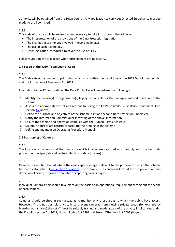authority will be obtained from the Town Council. Any application to carry out Directed Surveillance must be made to the Town Clerk.

#### 2.3.3

This code of practice will be revised when necessary to take into account the following:

- The interpretation of the provisions of the Data Protection legislation
- The changes in technology involved in recording images
- The use of such technology
- Other legislation introduced to cover the use of CCTV

Full consultation will take place when such changes are necessary.

#### **2.4 Scope of the Wem Town Council Code**

#### $2.41$

The Code sets out a number of principles, which must satisfy the conditions of the 2018 Data Protection Act and the Protection of Freedoms Act 2012.

In addition to the 12 points above, the Data Controller will undertake the following:-

- 1. Identify the person(s) or organisation(s) legally responsible for the management and operation of the scheme
- 2. Assess the appropriateness of and reasons for using the CCTV or similar surveillance equipment. (see section [1.2](#page-2-0) above)
- 3. Define the purpose and objectives of the scheme (first and second Data Protection Principles)
- 4. Notify the Information Commissioner in writing of the above information
- 5. Ensure the scheme and operation complies with the Human Rights Act 1998
- 6. Maintain appropriate records to facilitate the running of the scheme
- 7. Define and maintain an Operating Procedure Manual.

#### **2.5 Positioning of Cameras**

#### 2.5.1

The location of cameras and the means by which images are captured must comply with the first data protection principle (fair and lawful collection of data (images).

#### 2.5.2

Cameras should be situated where they will capture images relevant to the purpose for which the scheme has been established. [\(see section 1.2 above\)](#page-2-1) For example, if a camera is located for the prevention and detection of crime, it should be capable of capturing facial images.

#### 2.5.3

Individual Camera siting should take place on the basis of an operational requirement setting out the scope of each camera.

#### 2.5.4

Cameras should be sited in such a way as to monitor only those areas to which the public have access. However, if it is not possible physically to prevent cameras from viewing private areas (for example by blanking out an area) then staff must be suitably trained and made aware of the privacy implications under the Data Protection Act 2018, Human Rights Act 1998 and Sexual Offenders Act 2003 (Voyerism)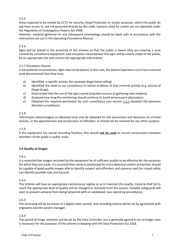#### 2.5.5

Areas required to be viewed by CCTV for security, Royal Protection or similar purposes, which the public do not have access to, are not governed directly by this code. Cameras sited for covert use are operated under the Regulation of Investigatory Powers Act 1998.

However, material gathered for any subsequent proceedings should be dealt with in accordance with the instructions set out in the Operating Procedures Manual.

#### 2.5.6

Signs will be placed in the proximity of the scheme so that the public is aware they are entering a zone covered by surveillance equipment. (see exception clause below) The signs will be clearly visible to the public, be an appropriate size and contain the appropriate information;

#### 2.5.7 (Exception Clause)

In exceptional circumstances, signs may not be placed. In this case, the owners/operators must have assessed (and documented) that they have;

- a) Identified a specific activity (for example illegal ticket selling)
- b) Identified the need to use surveillance to obtain evidence of that criminal activity (e.g. misuse of illegal drugs)
- c) Determined that the use of the signs would prejudice success in gathering that evidence
- d) Assessed how long the monitoring should continue to avoid unnecessary observation.
- e) Obtained the requisite permission for such surveillance (see section [1.3.2](#page-2-2) above) (if this becomes directed surveillance)

#### 2.5.8

Information (data/images) so obtained must only be obtained for the prevention and detection of criminal activity, or the apprehension and prosecution of offenders. It should not be retained for any other purpose.

#### 2.5.9

If the equipment has sound recording facilities, this should **not be used** to record conversation between members of the public in public areas.

#### **2.6 Quality of Images**

#### 2.6.1

It is essential that images recorded by the equipment be of sufficient quality to be effective for the purposes for which they are made. It is essential that cameras positioned for crime detection and/or prevention should be capable of good quality images able to identify suspect and offenders and cameras used for crowd safety can identify possible risks and hazards.

#### 2.6.2

The Scheme will have an appropriate maintenance regime so as to maintain this quality. Cameras that fail to reach the appropriate level of quality will be changed or removed from the system. Suitable safeguards will exist to prevent cameras from being tampered with or vandalised. (see operating procedures).

#### 2.6.3

The recording will be by means of a *digital video system*, and recording criteria will be set by agreement with engineers and the system manager.

#### 2.6.4

The period of image retention will be set by the Data Controller, but is generally agreed to be no longer than is necessary for the purposes of the scheme in keeping with the Data Protection Act 2018.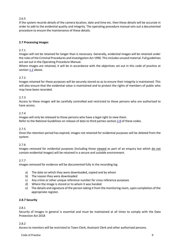#### 2.6.5

If the system records details of the camera location, date and time etc. then these details will be accurate in order to add to the evidential quality and integrity. The operating procedure manual sets out a documented procedure to ensure the maintenance of these details.

#### **2.7 Processing Images**

#### 2.7.1

Images will not be retained for longer than is necessary. Generally, evidential images will be retained under the rules of the Criminal Procedures and Investigation Act 1996. This includes unused material. Full guidelines are set out in the Operating Procedure Manual.

Where images are retained, it will be in accordance with the objectives set out in this code of practice at sectio[n 1.2](#page-2-1) above.

#### 2.7.2

Images retained for these purposes will be securely stored so as to ensure their integrity is maintained. This will also ensure that the evidential value is maintained and to protect the rights of members of public who may have been recorded.

#### 2.7.3

Access to these images will be carefully controlled and restricted to those persons who are authorised to have access.

#### 2.7.4

Images will only be released to those persons who have a legal right to view them. Refer to the National Guidelines on release of data to third parties section [2.8](#page-8-0) of these codes.

#### 2.7.5

Once the retention period has expired, images not retained for evidential purposes will be deleted from the system.

#### 2.7.6

Images removed for evidential purposes (including those viewed as part of an enquiry but which do not contain evidential images) will be retained in a secure and suitable environment.

#### 2.7.7

Images removed for evidence will be documented fully in the recording log

- a) The date on which they were downloaded, copied and by whom
- b) The reason they were downloaded
- c) Any crime or other unique reference number for cross reference purposes
- d) Where the image is stored or to whom it was handed
- e) The details and signature of the person taking it from the monitoring room, upon completion of the appropriate register.

#### **2.8.7 Security**

#### 2.8.1

Security of Images in general is essential and must be maintained at all times to comply with the Data Protection Act 2018

#### 2.8.2

Access to monitors will be restricted to Town Clerk, Assistant Clerk and other authorised persons.

**Code of Practice 8** 8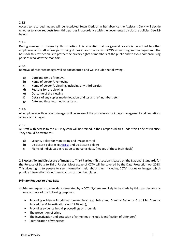#### 2.8.3

Access to recorded images will be restricted Town Clerk or in her absence the Assistant Clerk will decide whether to allow requests from third parties in accordance with the documented disclosure policies. See 2.9 below.

#### 2.8.4

During viewing of images by third parties. It is essential that no general access is permitted to other employees and staff unless performing duties in accordance with CCTV monitoring and management. The basis for this restriction is to protect the privacy rights of members of the public and to avoid compromising persons who view the monitors.

#### 2.8.5

Removal of recorded images will be documented and will include the following:-

- a) Date and time of removal
- b) Name of person/s removing
- c) Name of person/s viewing, including any third parties
- d) Reasons for the viewing
- e) Outcome of the viewing
- f) Details of any copies made (location of discs and ref. numbers etc.)
- g) Date and time returned to system.

#### 2.8.6

All employees with access to images will be aware of the procedures for image management and limitations of access to images.

#### 2.8.7

All staff with access to the CCTV system will be trained in their responsibilities under this Code of Practice. They should be aware of:-

- a) Security Policy for monitoring and image control
- b) Disclosure policy (see **Access** and Disclosure below)
- c) Rights of individuals in relation to personal data. (images of those individuals)

<span id="page-8-1"></span><span id="page-8-0"></span>**2.9 Access To and Disclosure of Images to Third Parties -** This section is based on the National Standards for the Release of Data to Third Parties. Most usage of CCTV will be covered by the Data Protection Act 2018. This gives rights to people to see information held about them including CCTV images or images which provide information about them such as car number plates.

#### **Primary Request to View Data**

- a) Primary requests to view data generated by a CCTV System are likely to be made by third parties for any one or more of the following purposes:
	- Providing evidence in criminal proceedings (e.g. Police and Criminal Evidence Act 1984, Criminal Procedures & Investigations Act 1996, etc.);
	- Providing evidence in civil proceedings or tribunals
	- The prevention of crime
	- The investigation and detection of crime (may include identification of offenders)
	- Identification of witnesses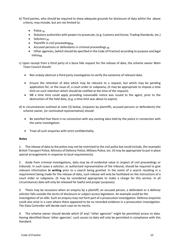- b) Third parties, who should be required to show adequate grounds for disclosure of data within the above criteria, may include, but are not limited to:
	- Police **(1)**
	- Statutory authorities with powers to prosecute, (e.g. Customs and Excise; Trading Standards, etc.)
	- Solicitors **(2)**
	- Plaintiffs in civil proceedings**(3)**
	- Accused persons or defendants in criminal proceedings **(3)**
	- Other agencies, (which should be specified in the Code of Practice) according to purpose and legal status**(4)**.
- c) Upon receipt from a third party of a bona fide request for the release of data, the scheme owner Wem Town Council should:
	- Not unduly obstruct a third party investigation to verify the existence of relevant data.
	- Ensure the retention of data which may be relevant to a request, but which may be pending application for, or the issue of, a court order or subpoena, (it may be appropriate to impose a time limit on such retention which should be notified at the time of the request).
	- NB a time limit could apply providing reasonable notice was issued to the agent, prior to the destruction of the held data, (e.g. a time limit was about to expire).
- d) In circumstances outlined at note (3) below, (requests by plaintiffs, accused persons or defendants) the scheme owner, (or nominated representative) should:
	- Be satisfied that there is no connection with any existing data held by the police in connection with the same investigation.
	- Treat all such enquiries with strict confidentiality.

#### **Notes**

1. The release of data to the police may not be restricted to the civil police but could include, (for example) British Transport Police, Ministry of Defence Police, Military Police, etc. (It may be appropriate to put in place special arrangements in response to local requirements).

2. Aside from criminal investigations, data may be of evidential value in respect of civil proceedings or tribunals. In such cases a solicitor, or authorised representative of the tribunal, should be required to give relevant information **in writing** prior to a search being granted. In the event of a search resulting in a requirement being made for the release of data, such release will only be facilitated on the instructions of a court order or subpoena. (It may be considered appropriate to make a charge for this service. In all circumstances data will only be released for lawful and proper purposes).

3. There may be occasions when an enquiry by a plaintiff, an accused person, a defendant or a defence solicitor falls outside the terms of disclosure or subject access legislation. An example could be the investigation of an alibi. Such an enquiry may not form part of a prosecution investigation. Defence enquiries could also arise in a case where there appeared to be no recorded evidence in a prosecution investigation. The Data Controller will decide each case on its merits.

4. The scheme owner should decide which (if any) "other agencies" might be permitted access to data. Having identified those 'other agencies', such access to data will only be permitted in compliance with this Standard.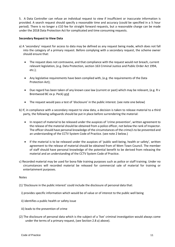5. A Data Controller can refuse an individual request to view if insufficient or inaccurate information is provided. A search request should specify a reasonable time and accuracy (could be specified in a ½ hour period). There is no longer a £10 fee for straight forward requests, but a reasonable charge can be made under the 2018 Data Protection Act for complicated and time consuming requests.

#### **Secondary Request to View Data**

- a) A 'secondary' request for access to data may be defined as any request being made, which does not fall into the category of a primary request. Before complying with a secondary request, the scheme owner should ensure that:
	- The request does not contravene, and that compliance with the request would not breach, current relevant legislation, (e.g. Data Protection, section 163 Criminal Justice and Public Order Act 1994, etc.);
	- Any legislative requirements have been complied with, (e.g. the requirements of the Data Protection Act);
	- Due regard has been taken of any known case law (current or past) which may be relevant, (e.g. R v Brentwood BC ex p. Peck) and
	- The request would pass a test of 'disclosure' in the public interest. (see note one below)
- b) If, in compliance with a secondary request to view data, a decision is taken to release material to a third party, the following safeguards should be put in place before surrendering the material:
	- In respect of material to be released under the auspices of 'crime prevention', written agreement to the release of the material should be obtained from a police officer, not below the rank of Inspector. The officer should have personal knowledge of the circumstances of the crime/s to be prevented and an understanding of the CCTV System Code of Practice. (see note 2 below.)
	- If the material is to be released under the auspices of 'public well-being, health or safety', written agreement to the release of material should be obtained from of Wem Town Council. The member of staff should have personal knowledge of the potential benefit to be derived from releasing the material and an understanding of the CCTV System Code of Practice.
- c) Recorded material may be used for bona fide training purposes such as police or staff training. Under no circumstances will recorded material be released for commercial sale of material for training or entertainment purposes.

#### Notes

- (1) 'Disclosure in the public interest' could include the disclosure of personal data that:
	- i) provides specific information which would be of value or of interest to the public well being
	- ii) identifies a public health or safety issue
	- iii) leads to the prevention of crime
- (2) The disclosure of personal data which is the subject of a 'live' criminal investigation would always come under the terms of a primary request, (see Section 2.8 a) above).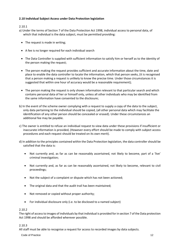#### **2.10 Individual Subject Access under Data Protection legislation**

#### 2.10.1

- a) Under the terms of Section 7 of the Data Protection Act 1998, individual access to personal data, of which that individual is the data subject, must be permitted providing:
	- The request is made in writing;
	- A fee is no longer required for each individual search
	- The Data Controller is supplied with sufficient information to satisfy him or herself as to the identity of the person making the request;
	- The person making the request provides sufficient and accurate information about the time, date and place to enable the data controller to locate the information, which that person seeks, (it is recognised that a person making a request is unlikely to know the precise time. Under those circumstances it is suggested that within one hour of accuracy would be a reasonable requirement);
	- The person making the request is only shown information relevant to that particular search and which contains personal data of her or himself only, unless all other individuals who may be identified from the same information have consented to the disclosure;
- b) In the event of the scheme owner complying with a request to supply a copy of the data to the subject, only data pertaining to the individual should be copied, (all other personal data which may facilitate the identification of any other person should be concealed or erased). Under these circumstances an additional fee may be payable.
- c) The owner is entitled to refuse an individual request to view data under these provisions if insufficient or inaccurate information is provided, (However every effort should be made to comply with subject access procedures and each request should be treated on its own merit).
- d) In addition to the principles contained within the Data Protection legislation, the data controller should be satisfied that the data is:
	- Not currently and, as far as can be reasonably ascertained, not likely to become, part of a 'live' criminal investigation;
	- Not currently and, as far as can be reasonably ascertained, not likely to become, relevant to civil proceedings;
	- Not the subject of a complaint or dispute which has not been actioned;
	- The original data and that the audit trail has been maintained;
	- Not removed or copied without proper authority;
	- For individual disclosure only (i.e. to be disclosed to a named subject)

#### 2.10.2

The right of access to images of individuals by that individual is provided for in section 7 of the Data protection Act 1998 and should be afforded wherever possible.

#### 2.10.3

All staff must be able to recognise a request for access to recorded images by data subjects.

Code of Practice 22 and 22 and 22 and 22 and 23 and 23 and 23 and 23 and 23 and 23 and 24 and 25 and 26 and 26 and 26 and 26 and 26 and 26 and 26 and 26 and 26 and 26 and 26 and 26 and 26 and 26 and 26 and 26 and 26 and 26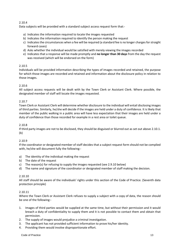#### 2.10.4

Data subjects will be provided with a standard subject access request form that:-

- a) Indicates the information required to locate the images requested
- b) Indicates the information required to identify the person making the request
- c) Indicates the circumstances when a fee will be required (a standard fee is no longer charges for straight forward cases)
- d) Asks whether the individual would be satisfied with merely viewing the images recorded
- e) Indicates that a response will be made promptly and **no longer than 30 days** from the day the request was received (which will be endorsed on the form)

#### 2.10.5

Individuals will be provided information describing the types of images recorded and retained, the purpose for which those images are recorded and retained and information about the disclosure policy in relation to those images.

#### 2.10.6

All subject access requests will be dealt with by the Town Clerk or Assistant Clerk. Where possible, the designated member of staff will locate the images requested.

#### 2.10.7

Town Clerk or Assistant Clerk will determine whether disclosure to the individual will entail disclosing images of third parties. Similarly, he/she will decide if the images are held under a duty of confidence. It is likely that member of the public walking in a public area will have less expectation that their images are held under a duty of confidence than those recorded for example in a rest area or toilet queue.

#### 2.10.8

If third party images are not to be disclosed, they should be disguised or blurred out as set out above 2.10.1. (b)

#### 2.10.9

If the coordinator or designated member of staff decides that a subject request form should not be complied with, he/she will document fully the following:-

- a) The identity of the individual making the request
- b) The date of the request
- c) The reason(s) for refusing to supply the images requested (see 2.9.10 below)
- d) The name and signature of the coordinator or designated member of staff making the decision.

#### 2.10.10

All staff should be aware of the individuals' rights under this section of the Code of Practice. (Seventh data protection principle)

#### 2.10.11

Where the Town Clerk or Assistant Clerk refuses to supply a subject with a copy of data, the reason should be one of the following:-

- 1. Images of third parties would be supplied at the same time, but without their permission and it would breach a duty of confidentiality to supply them and it is not possible to contact them and obtain that permission.
- 2. The supply of images would prejudice a criminal investigation.
- 3. The applicant has not provided sufficient information to prove his/her identity.
- 4. Providing them would involve disproportionate effort.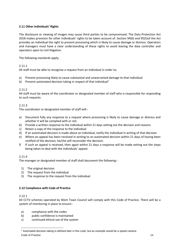#### **2.11 Other Individuals' Rights**

The disclosure or viewing of images may cause third parties to be compromised. The Data Protection Act 2018 makes provision for other individuals' rights to be taken account of. Section 94(6) and 95(5)of the Act provides an individual the right to prevent processing which is likely to cause damage or distress. Operators and managers must have a clear understanding of these rights to avoid leaving the data controller and operators open to civil litigation.

The following standards apply;

#### 2.11.1

All staff must be able to recognise a request from an individual in order to;

- a) Prevent processing likely to cause substantial and unwarranted damage to that individual
- b) Prevent automated decision taking in respect of that individual<sup>1</sup>

#### 2.11.2

All staff must be aware of the coordinator or designated member of staff who is responsible for responding to such requests

#### 2.11.3

The coordinator or designated member of staff will:-

- a) Document fully any response to a request where processing is likely to cause damage or distress and whether it will be complied with or not.
- b) Provide a written response to the individual within 21 days setting out the decision and reasons
- c) Retain a copy of the response to the individual
- d) If an automated decision is made about an individual, notify the individual in writing of that decision
- e) Where an appeal has been received in writing to an automated decision within 21 days of having been notified of the decision, he/she will reconsider the decision.
- f) If such an appeal is received, then again within 21 days a response will be made setting out the steps being taken to deal with the individuals' appeal.

#### 2.11.4

The manager or designated member of staff shall document the following:-

- 1) The original decision
- 2) The request from the individual
- 3) The response to the request from the individual

#### **2.12 Compliance with Code of Practice**

#### 2.12.1

All CCTV schemes operated by Wem Town Council will comply with this Code of Practice. There will be a system of monitoring in place to ensure:-

- a) compliance with the codes
- b) public confidence is maintained
- c) continued ethical use of the system

Code of Practice 24 and 24 and 25 and 26 and 26 and 26 and 26 and 26 and 26 and 26 and 26 and 26 and 26 and 26 <sup>1</sup> Automated decision taking is defined later in this code, but an example would be a speed camera